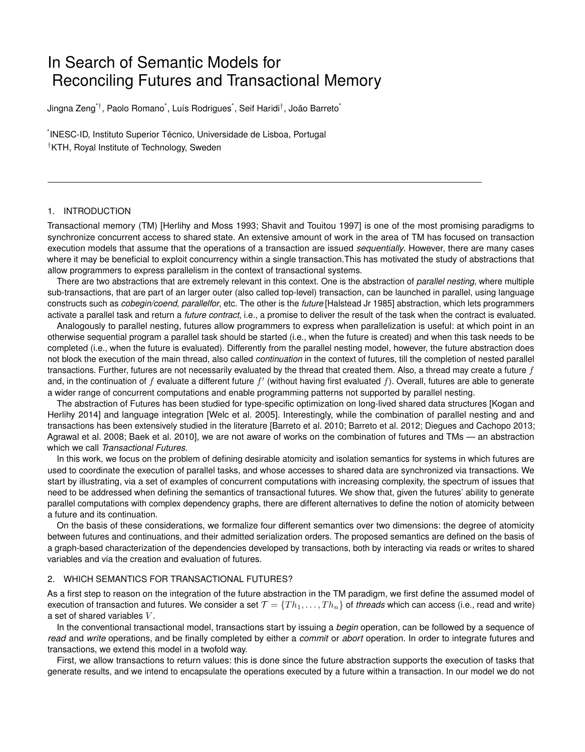# In Search of Semantic Models for Reconciling Futures and Transactional Memory

Jingna Zeng\**†*, Paolo Romano\* , Luís Rodrigues\* , Seif Haridi*†*, João Barreto\*

\* INESC-ID, Instituto Superior Técnico, Universidade de Lisboa, Portugal *†*KTH, Royal Institute of Technology, Sweden

## 1. INTRODUCTION

Transactional memory (TM) [Herlihy and Moss 1993; Shavit and Touitou 1997] is one of the most promising paradigms to synchronize concurrent access to shared state. An extensive amount of work in the area of TM has focused on transaction execution models that assume that the operations of a transaction are issued *sequentially*. However, there are many cases where it may be beneficial to exploit concurrency within a single transaction.This has motivated the study of abstractions that allow programmers to express parallelism in the context of transactional systems.

There are two abstractions that are extremely relevant in this context. One is the abstraction of *parallel nesting*, where multiple sub-transactions, that are part of an larger outer (also called top-level) transaction, can be launched in parallel, using language constructs such as *cobegin/coend*, *parallelfor*, etc. The other is the *future* [Halstead Jr 1985] abstraction, which lets programmers activate a parallel task and return a *future contract*, i.e., a promise to deliver the result of the task when the contract is evaluated.

Analogously to parallel nesting, futures allow programmers to express when parallelization is useful: at which point in an otherwise sequential program a parallel task should be started (i.e., when the future is created) and when this task needs to be completed (i.e., when the future is evaluated). Differently from the parallel nesting model, however, the future abstraction does not block the execution of the main thread, also called *continuation* in the context of futures, till the completion of nested parallel transactions. Further, futures are not necessarily evaluated by the thread that created them. Also, a thread may create a future *f* and, in the continuation of  $f$  evaluate a different future  $f'$  (without having first evaluated  $f$ ). Overall, futures are able to generate a wider range of concurrent computations and enable programming patterns not supported by parallel nesting.

The abstraction of Futures has been studied for type-specific optimization on long-lived shared data structures [Kogan and Herlihy 2014] and language integration [Welc et al. 2005]. Interestingly, while the combination of parallel nesting and and transactions has been extensively studied in the literature [Barreto et al. 2010; Barreto et al. 2012; Diegues and Cachopo 2013; Agrawal et al. 2008; Baek et al. 2010], we are not aware of works on the combination of futures and TMs — an abstraction which we call *Transactional Futures*.

In this work, we focus on the problem of defining desirable atomicity and isolation semantics for systems in which futures are used to coordinate the execution of parallel tasks, and whose accesses to shared data are synchronized via transactions. We start by illustrating, via a set of examples of concurrent computations with increasing complexity, the spectrum of issues that need to be addressed when defining the semantics of transactional futures. We show that, given the futures' ability to generate parallel computations with complex dependency graphs, there are different alternatives to define the notion of atomicity between a future and its continuation.

On the basis of these considerations, we formalize four different semantics over two dimensions: the degree of atomicity between futures and continuations, and their admitted serialization orders. The proposed semantics are defined on the basis of a graph-based characterization of the dependencies developed by transactions, both by interacting via reads or writes to shared variables and via the creation and evaluation of futures.

#### 2. WHICH SEMANTICS FOR TRANSACTIONAL FUTURES?

As a first step to reason on the integration of the future abstraction in the TM paradigm, we first define the assumed model of execution of transaction and futures. We consider a set  $\mathcal{T} = \{Th_1, \ldots, Th_n\}$  of *threads* which can access (i.e., read and write) a set of shared variables *V* .

In the conventional transactional model, transactions start by issuing a *begin* operation, can be followed by a sequence of *read* and *write* operations, and be finally completed by either a *commit* or *abort* operation. In order to integrate futures and transactions, we extend this model in a twofold way.

First, we allow transactions to return values: this is done since the future abstraction supports the execution of tasks that generate results, and we intend to encapsulate the operations executed by a future within a transaction. In our model we do not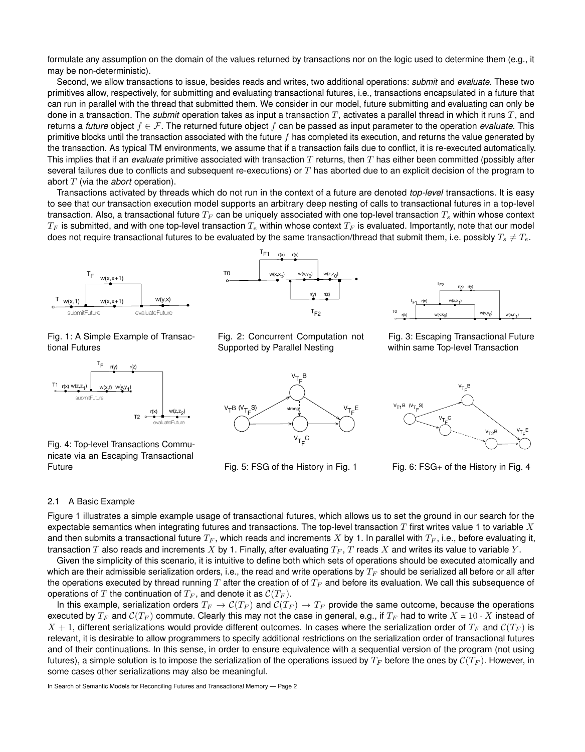formulate any assumption on the domain of the values returned by transactions nor on the logic used to determine them (e.g., it may be non-deterministic).

Second, we allow transactions to issue, besides reads and writes, two additional operations: *submit* and *evaluate*. These two primitives allow, respectively, for submitting and evaluating transactional futures, i.e., transactions encapsulated in a future that can run in parallel with the thread that submitted them. We consider in our model, future submitting and evaluating can only be done in a transaction. The *submit* operation takes as input a transaction *T*, activates a parallel thread in which it runs *T*, and returns a *future* object  $f \in \mathcal{F}$ . The returned future object  $f$  can be passed as input parameter to the operation *evaluate*. This primitive blocks until the transaction associated with the future *f* has completed its execution, and returns the value generated by the transaction. As typical TM environments, we assume that if a transaction fails due to conflict, it is re-executed automatically. This implies that if an *evaluate* primitive associated with transaction *T* returns, then *T* has either been committed (possibly after several failures due to conflicts and subsequent re-executions) or *T* has aborted due to an explicit decision of the program to abort *T* (via the *abort* operation).

Transactions activated by threads which do not run in the context of a future are denoted *top-level* transactions. It is easy to see that our transaction execution model supports an arbitrary deep nesting of calls to transactional futures in a top-level transaction. Also, a transactional future *T<sup>F</sup>* can be uniquely associated with one top-level transaction *T<sup>s</sup>* within whose context  $T_F$  is submitted, and with one top-level transaction  $T_e$  within whose context  $T_F$  is evaluated. Importantly, note that our model does not require transactional futures to be evaluated by the same transaction/thread that submit them, i.e. possibly  $T_s \neq T_e$ .



Fig. 1: A Simple Example of Transactional Futures



Fig. 4: Top-level Transactions Communicate via an Escaping Transactional Future





Fig. 2: Concurrent Computation not Supported by Parallel Nesting



Fig. 5: FSG of the History in Fig. 1

Fig. 3: Escaping Transactional Future within same Top-level Transaction



Fig. 6: FSG+ of the History in Fig. 4

### 2.1 A Basic Example

Figure 1 illustrates a simple example usage of transactional futures, which allows us to set the ground in our search for the expectable semantics when integrating futures and transactions. The top-level transaction *T* first writes value 1 to variable *X* and then submits a transactional future *T<sup>F</sup>* , which reads and increments *X* by 1. In parallel with *T<sup>F</sup>* , i.e., before evaluating it, transaction *T* also reads and increments *X* by 1. Finally, after evaluating *T<sup>F</sup>* , *T* reads *X* and writes its value to variable *Y* .

Given the simplicity of this scenario, it is intuitive to define both which sets of operations should be executed atomically and which are their admissible serialization orders, i.e., the read and write operations by *T<sup>F</sup>* should be serialized all before or all after the operations executed by thread running *T* after the creation of of *T<sup>F</sup>* and before its evaluation. We call this subsequence of operations of *T* the continuation of  $T_F$ , and denote it as  $C(T_F)$ .

In this example, serialization orders  $T_F \to \mathcal{C}(T_F)$  and  $\mathcal{C}(T_F) \to T_F$  provide the same outcome, because the operations executed by  $T_F$  and  $C(T_F)$  commute. Clearly this may not the case in general, e.g., if  $T_F$  had to write  $X = 10 \cdot X$  instead of  $X + 1$ , different serializations would provide different outcomes. In cases where the serialization order of  $T_F$  and  $C(T_F)$  is relevant, it is desirable to allow programmers to specify additional restrictions on the serialization order of transactional futures and of their continuations. In this sense, in order to ensure equivalence with a sequential version of the program (not using futures), a simple solution is to impose the serialization of the operations issued by  $T_F$  before the ones by  $C(T_F)$ . However, in some cases other serializations may also be meaningful.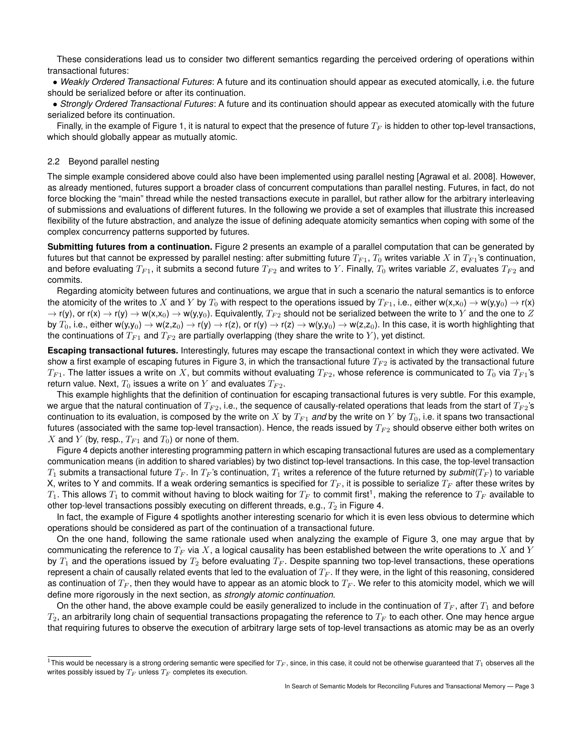These considerations lead us to consider two different semantics regarding the perceived ordering of operations within transactional futures:

*• Weakly Ordered Transactional Futures*: A future and its continuation should appear as executed atomically, i.e. the future should be serialized before or after its continuation.

*• Strongly Ordered Transactional Futures*: A future and its continuation should appear as executed atomically with the future serialized before its continuation.

Finally, in the example of Figure 1, it is natural to expect that the presence of future  $T_F$  is hidden to other top-level transactions, which should globally appear as mutually atomic.

### 2.2 Beyond parallel nesting

The simple example considered above could also have been implemented using parallel nesting [Agrawal et al. 2008]. However, as already mentioned, futures support a broader class of concurrent computations than parallel nesting. Futures, in fact, do not force blocking the "main" thread while the nested transactions execute in parallel, but rather allow for the arbitrary interleaving of submissions and evaluations of different futures. In the following we provide a set of examples that illustrate this increased flexibility of the future abstraction, and analyze the issue of defining adequate atomicity semantics when coping with some of the complex concurrency patterns supported by futures.

**Submitting futures from a continuation.** Figure 2 presents an example of a parallel computation that can be generated by futures but that cannot be expressed by parallel nesting: after submitting future  $T_{F1}$ ,  $T_0$  writes variable  $X$  in  $T_{F1}$ 's continuation, and before evaluating  $T_{F1}$ , it submits a second future  $T_{F2}$  and writes to Y. Finally,  $T_0$  writes variable Z, evaluates  $T_{F2}$  and commits.

Regarding atomicity between futures and continuations, we argue that in such a scenario the natural semantics is to enforce the atomicity of the writes to X and Y by  $T_0$  with respect to the operations issued by  $T_{F1}$ , i.e., either  $w(x,x_0) \to w(y,y_0) \to r(x)$  $\rightarrow$  r(y), or r(x)  $\rightarrow$  r(y)  $\rightarrow$  w(x,x<sub>0</sub>)  $\rightarrow$  w(y,y<sub>0</sub>). Equivalently,  $T_{F2}$  should not be serialized between the write to *Y* and the one to *Z* by  $T_0$ , i.e., either w(y,y<sub>0</sub>)  $\to$  w(z,z<sub>0</sub>)  $\to$  r(y)  $\to$  r(z), or r(y)  $\to$  r(z)  $\to$  w(y,y<sub>0</sub>)  $\to$  w(z,z<sub>0</sub>). In this case, it is worth highlighting that the continuations of  $T_{F1}$  and  $T_{F2}$  are partially overlapping (they share the write to Y), yet distinct.

**Escaping transactional futures.** Interestingly, futures may escape the transactional context in which they were activated. We show a first example of escaping futures in Figure 3, in which the transactional future  $T_{F2}$  is activated by the transactional future  $T_{F1}$ . The latter issues a write on X, but commits without evaluating  $T_{F2}$ , whose reference is communicated to  $T_0$  via  $T_{F1}$ 's return value. Next,  $T_0$  issues a write on  $Y$  and evaluates  $T_{F2}$ .

This example highlights that the definition of continuation for escaping transactional futures is very subtle. For this example, we argue that the natural continuation of  $T_{F2}$ , i.e., the sequence of causally-related operations that leads from the start of  $T_{F2}$ 's continuation to its evaluation, is composed by the write on X by  $T_{F1}$  and by the write on Y by  $T_0$ , i.e. it spans two transactional futures (associated with the same top-level transaction). Hence, the reads issued by  $T_{F2}$  should observe either both writes on *X* and *Y* (by, resp.,  $T_{F1}$  and  $T_0$ ) or none of them.

Figure 4 depicts another interesting programming pattern in which escaping transactional futures are used as a complementary communication means (in addition to shared variables) by two distinct top-level transactions. In this case, the top-level transaction  $T_1$  submits a transactional future  $T_F$ . In  $T_F$ 's continuation,  $T_1$  writes a reference of the future returned by *submit*( $T_F$ ) to variable X, writes to Y and commits. If a weak ordering semantics is specified for *T<sup>F</sup>* , it is possible to serialize *T<sup>F</sup>* after these writes by  $T_1$ . This allows  $T_1$  to commit without having to block waiting for  $T_F$  to commit first<sup>1</sup>, making the reference to  $T_F$  available to other top-level transactions possibly executing on different threads, e.g.,  $T_2$  in Figure 4.

In fact, the example of Figure 4 spotlights another interesting scenario for which it is even less obvious to determine which operations should be considered as part of the continuation of a transactional future.

On the one hand, following the same rationale used when analyzing the example of Figure 3, one may argue that by communicating the reference to *T<sup>F</sup>* via *X*, a logical causality has been established between the write operations to *X* and *Y* by  $T_1$  and the operations issued by  $T_2$  before evaluating  $T_F$ . Despite spanning two top-level transactions, these operations represent a chain of causally related events that led to the evaluation of *T<sup>F</sup>* . If they were, in the light of this reasoning, considered as continuation of  $T_F$ , then they would have to appear as an atomic block to  $T_F$ . We refer to this atomicity model, which we will define more rigorously in the next section, as *strongly atomic continuation*.

On the other hand, the above example could be easily generalized to include in the continuation of  $T_F$ , after  $T_1$  and before *T*2, an arbitrarily long chain of sequential transactions propagating the reference to *T<sup>F</sup>* to each other. One may hence argue that requiring futures to observe the execution of arbitrary large sets of top-level transactions as atomic may be as an overly

<sup>&</sup>lt;sup>1</sup>This would be necessary is a strong ordering semantic were specified for  $T_F$ , since, in this case, it could not be otherwise guaranteed that  $T_1$  observes all the writes possibly issued by *T<sup>F</sup>* unless *T<sup>F</sup>* completes its execution.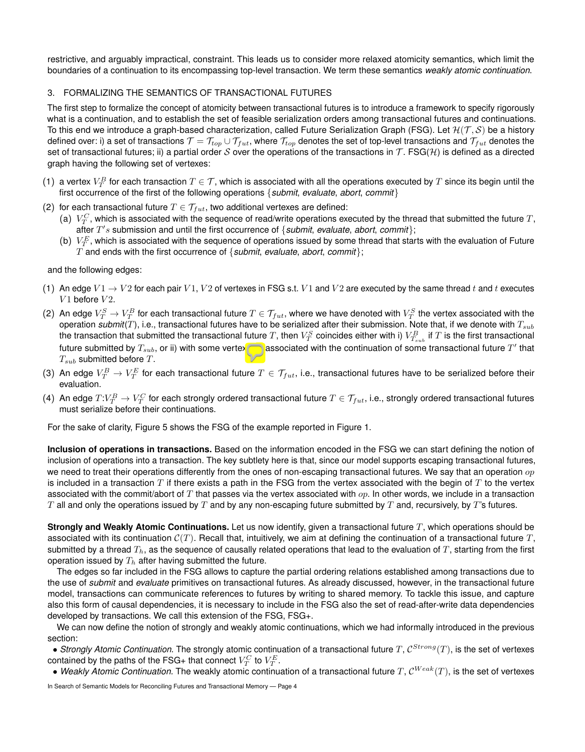restrictive, and arguably impractical, constraint. This leads us to consider more relaxed atomicity semantics, which limit the boundaries of a continuation to its encompassing top-level transaction. We term these semantics *weakly atomic continuation*.

# 3. FORMALIZING THE SEMANTICS OF TRANSACTIONAL FUTURES

The first step to formalize the concept of atomicity between transactional futures is to introduce a framework to specify rigorously what is a continuation, and to establish the set of feasible serialization orders among transactional futures and continuations. To this end we introduce a graph-based characterization, called Future Serialization Graph (FSG). Let *H*(*T , S*) be a history defined over: i) a set of transactions  $\mathcal{T} = \mathcal{T}_{top} \cup \mathcal{T}_{fut}$ , where  $\mathcal{T}_{top}$  denotes the set of top-level transactions and  $\mathcal{T}_{fut}$  denotes the set of transactional futures; ii) a partial order *S* over the operations of the transactions in  $\mathcal{T}$ . FSG( $\mathcal{H}$ ) is defined as a directed graph having the following set of vertexes:

- (1) a vertex  $V_T^B$  for each transaction  $T\in\mathcal{T}$ , which is associated with all the operations executed by  $T$  since its begin until the first occurrence of the first of the following operations *{submit*, *evaluate*, *abort*, *commit}*
- (2) for each transactional future  $T \in \mathcal{T}_{fut}$ , two additional vertexes are defined:
	- (a)  $V_T^C$ , which is associated with the sequence of read/write operations executed by the thread that submitted the future  $T$ , after *T*0 *s* submission and until the first occurrence of *{submit*, *evaluate*, *abort*, *commit}*;
	- (b)  $\ V_F^E$ , which is associated with the sequence of operations issued by some thread that starts with the evaluation of Future *T* and ends with the first occurrence of *{submit*, *evaluate*, *abort*, *commit}*;

and the following edges:

- (1) An edge  $V1 \rightarrow V2$  for each pair  $V1$ ,  $V2$  of vertexes in FSG s.t.  $V1$  and  $V2$  are executed by the same thread t and t executes  $V1$  before  $V2$ .
- (2) An edge  $V_T^S \to V_T^B$  for each transactional future  $T \in \mathcal{T}_{fut}$ , where we have denoted with  $V_T^S$  the vertex associated with the operation *submit*(*T*), i.e., transactional futures have to be serialized after their submission. Note that, if we denote with *Tsub* the transaction that submitted the transactional future  $T$ , then  $V^S_T$  coincides either with i)  $V^B_{T_{sub}}$  if  $T$  is the first transactional future submitted by  $T_{sub}$ , or ii) with some vertex  $\overline{V_{T'}^G}$  associated with the continuation of some transactional future  $T'$  that *Tsub* submitted before *T*.
- (3) An edge  $V_T^B\to V_T^E$  for each transactional future  $T\in \mathcal{T}_{fut}$ , i.e., transactional futures have to be serialized before their evaluation.
- (4) An edge  $T:V_T^B\to V_T^C$  for each strongly ordered transactional future  $T\in \mathcal{T}_{fut}$ , i.e., strongly ordered transactional futures must serialize before their continuations.

For the sake of clarity, Figure 5 shows the FSG of the example reported in Figure 1.

**Inclusion of operations in transactions.** Based on the information encoded in the FSG we can start defining the notion of inclusion of operations into a transaction. The key subtlety here is that, since our model supports escaping transactional futures, we need to treat their operations differently from the ones of non-escaping transactional futures. We say that an operation *op* is included in a transaction *T* if there exists a path in the FSG from the vertex associated with the begin of *T* to the vertex associated with the commit/abort of *T* that passes via the vertex associated with *op*. In other words, we include in a transaction *T* all and only the operations issued by *T* and by any non-escaping future submitted by *T* and, recursively, by *T*'s futures.

**Strongly and Weakly Atomic Continuations.** Let us now identify, given a transactional future *T*, which operations should be associated with its continuation *C*(*T*). Recall that, intuitively, we aim at defining the continuation of a transactional future *T*, submitted by a thread  $T_h$ , as the sequence of causally related operations that lead to the evaluation of  $T$ , starting from the first operation issued by *T<sup>h</sup>* after having submitted the future.

The edges so far included in the FSG allows to capture the partial ordering relations established among transactions due to the use of *submit* and *evaluate* primitives on transactional futures. As already discussed, however, in the transactional future model, transactions can communicate references to futures by writing to shared memory. To tackle this issue, and capture also this form of causal dependencies, it is necessary to include in the FSG also the set of read-after-write data dependencies developed by transactions. We call this extension of the FSG, FSG+.

We can now define the notion of strongly and weakly atomic continuations, which we had informally introduced in the previous section:

*• Strongly Atomic Continuation.* The strongly atomic continuation of a transactional future *<sup>T</sup>*, *<sup>C</sup>Strong*(*T*), is the set of vertexes contained by the paths of the FSG+ that connect  $V^C_T$  to  $V^E_T$ .

*• Weakly Atomic Continuation.* The weakly atomic continuation of a transactional future *<sup>T</sup>*, *<sup>C</sup>W eak*(*T*), is the set of vertexes

In Search of Semantic Models for Reconciling Futures and Transactional Memory — Page 4